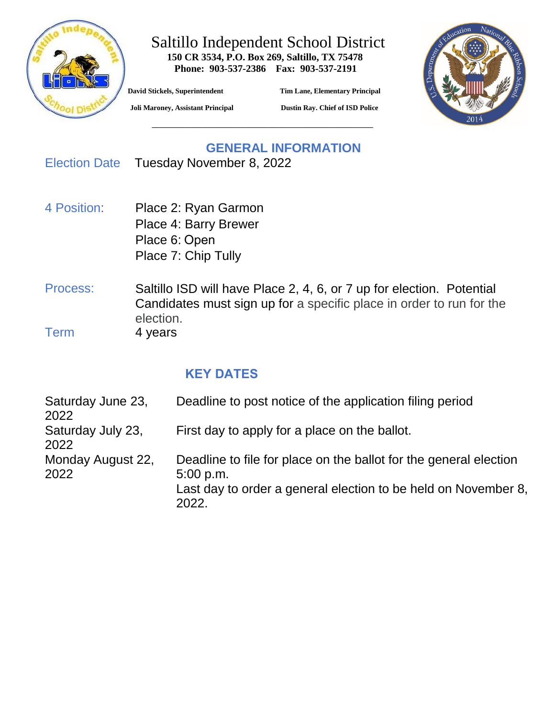

### Saltillo Independent School District  **150 CR 3534, P.O. Box 269, Saltillo, TX 75478**

 **Phone: 903-537-2386 Fax: 903-537-2191**

**\_\_\_\_\_\_\_\_\_\_\_\_\_\_\_\_\_\_\_\_\_\_\_\_\_\_\_\_\_\_\_\_\_\_\_\_\_\_\_\_\_\_\_\_\_\_\_\_\_\_\_\_\_\_\_\_\_\_\_\_\_**

**David Stickels, Superintendent Tim Lane, Elementary Principal** 



 **Joli Maroney, Assistant Principal Dustin Ray. Chief of ISD Police**

### **GENERAL INFORMATION** Election Date Tuesday November 8, 2022

- 4 Position: Place 2: Ryan Garmon Place 4: Barry Brewer Place 6: Open Place 7: Chip Tully
- Process: Saltillo ISD will have Place 2, 4, 6, or 7 up for election. Potential Candidates must sign up for a specific place in order to run for the election. Term 4 years

## **KEY DATES**

| Saturday June 23,<br>2022 | Deadline to post notice of the application filing period                                                                                                  |
|---------------------------|-----------------------------------------------------------------------------------------------------------------------------------------------------------|
| Saturday July 23,<br>2022 | First day to apply for a place on the ballot.                                                                                                             |
| Monday August 22,<br>2022 | Deadline to file for place on the ballot for the general election<br>5:00 p.m.<br>Last day to order a general election to be held on November 8,<br>2022. |